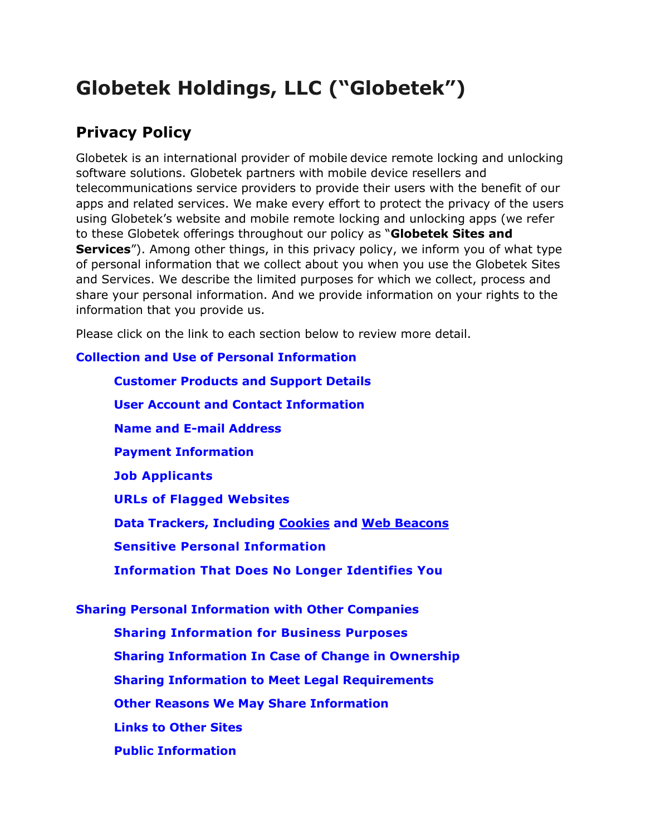# **Globetek Holdings, LLC ("Globetek")**

# **Privacy Policy**

Globetek is an international provider of mobile device remote locking and unlocking software solutions. Globetek partners with mobile device resellers and telecommunications service providers to provide their users with the benefit of our apps and related services. We make every effort to protect the privacy of the users using Globetek's website and mobile remote locking and unlocking apps (we refer to these Globetek offerings throughout our policy as "**Globetek Sites and Services**"). Among other things, in this privacy policy, we inform you of what type of personal information that we collect about you when you use the Globetek Sites and Services. We describe the limited purposes for which we collect, process and share your personal information. And we provide information on your rights to the information that you provide us.

Please click on the link to each section below to review more detail.

**Collection and Use of Personal Information**

**Customer Products and Support Details User Account and Contact Information Name and E-mail Address Payment Information Job Applicants URLs of Flagged Websites Data Trackers, Including [Cookies](https://en.wikipedia.org/wiki/HTTP_cookie) and [Web Beacons](https://en.wikipedia.org/wiki/Web_beacon) Sensitive Personal Information Information That Does No Longer Identifies You Sharing Personal Information with Other Companies**

**Sharing Information for Business Purposes Sharing Information In Case of Change in Ownership Sharing Information to Meet Legal Requirements Other Reasons We May Share Information Links to Other Sites Public Information**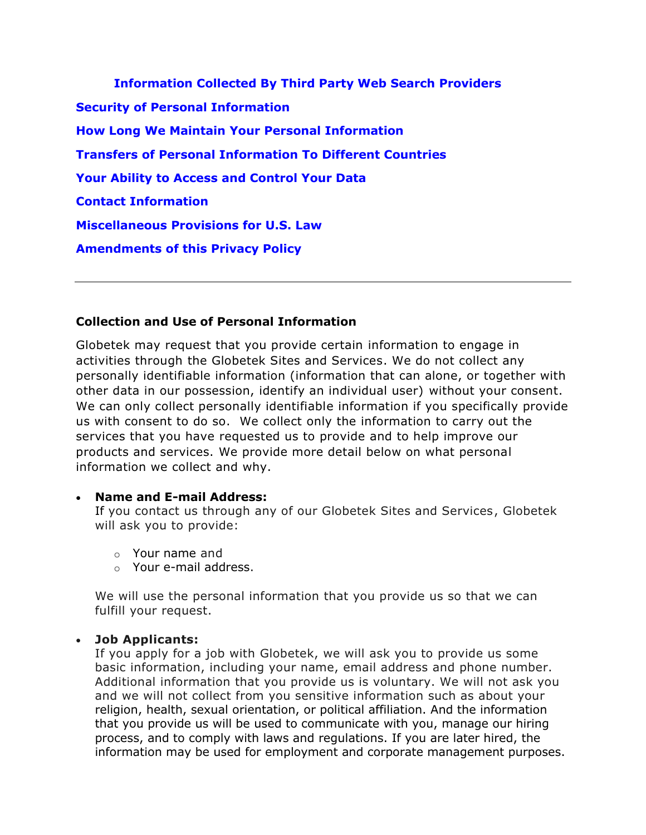**Information Collected By Third Party Web Search Providers Security of Personal Information How Long We Maintain Your Personal Information Transfers of Personal Information To Different Countries Your Ability to Access and Control Your Data Contact Information Miscellaneous Provisions for U.S. Law Amendments of this Privacy Policy**

### **Collection and Use of Personal Information**

Globetek may request that you provide certain information to engage in activities through the Globetek Sites and Services. We do not collect any personally identifiable information (information that can alone, or together with other data in our possession, identify an individual user) without your consent. We can only collect personally identifiable information if you specifically provide us with consent to do so. We collect only the information to carry out the services that you have requested us to provide and to help improve our products and services. We provide more detail below on what personal information we collect and why.

### • **Name and E-mail Address:**

If you contact us through any of our Globetek Sites and Services, Globetek will ask you to provide:

- o Your name and
- o Your e-mail address.

We will use the personal information that you provide us so that we can fulfill your request.

### • **Job Applicants:**

If you apply for a job with Globetek, we will ask you to provide us some basic information, including your name, email address and phone number. Additional information that you provide us is voluntary. We will not ask you and we will not collect from you sensitive information such as about your religion, health, sexual orientation, or political affiliation. And the information that you provide us will be used to communicate with you, manage our hiring process, and to comply with laws and regulations. If you are later hired, the information may be used for employment and corporate management purposes.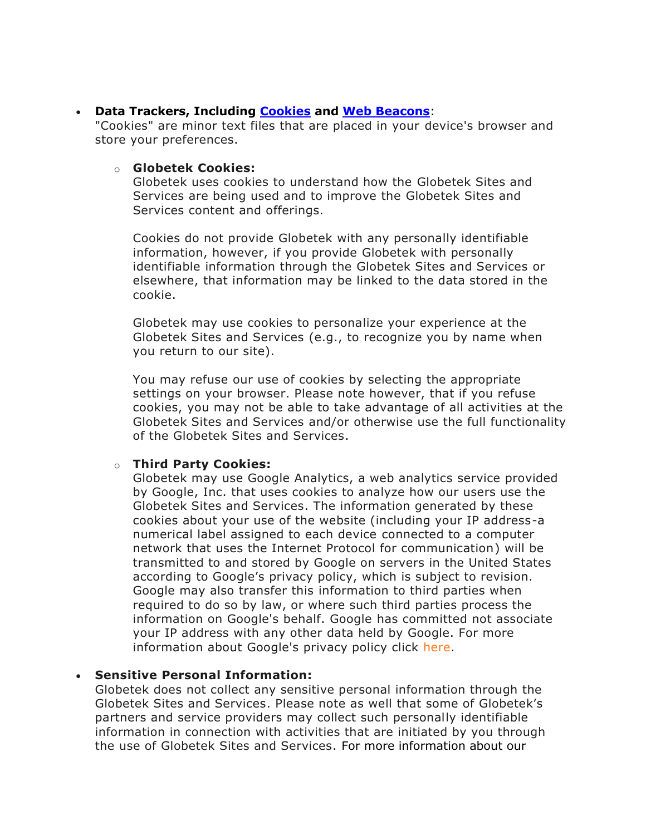#### • **Data Trackers, Including [Cookies](https://en.wikipedia.org/wiki/HTTP_cookie) and [Web Beacons](https://en.wikipedia.org/wiki/Web_beacon)**:

"Cookies" are minor text files that are placed in your device's browser and store your preferences.

#### o **Globetek Cookies:**

Globetek uses cookies to understand how the Globetek Sites and Services are being used and to improve the Globetek Sites and Services content and offerings.

Cookies do not provide Globetek with any personally identifiable information, however, if you provide Globetek with personally identifiable information through the Globetek Sites and Services or elsewhere, that information may be linked to the data stored in the cookie.

Globetek may use cookies to personalize your experience at the Globetek Sites and Services (e.g., to recognize you by name when you return to our site).

You may refuse our use of cookies by selecting the appropriate settings on your browser. Please note however, that if you refuse cookies, you may not be able to take advantage of all activities at the Globetek Sites and Services and/or otherwise use the full functionality of the Globetek Sites and Services.

#### o **Third Party Cookies:**

Globetek may use Google Analytics, a web analytics service provided by Google, Inc. that uses cookies to analyze how our users use the Globetek Sites and Services. The information generated by these cookies about your use of the website (including your IP address-a numerical label assigned to each device connected to a computer network that uses the Internet Protocol for communication) will be transmitted to and stored by Google on servers in the United States according to Google's privacy policy, which is subject to revision. Google may also transfer this information to third parties when required to do so by law, or where such third parties process the information on Google's behalf. Google has committed not associate your IP address with any other data held by Google. For more information about Google's privacy policy click [here.](https://www.google.com/policies/privacy/partners/)

### • **Sensitive Personal Information:**

Globetek does not collect any sensitive personal information through the Globetek Sites and Services. Please note as well that some of Globetek's partners and service providers may collect such personally identifiable information in connection with activities that are initiated by you through the use of Globetek Sites and Services. For more information about our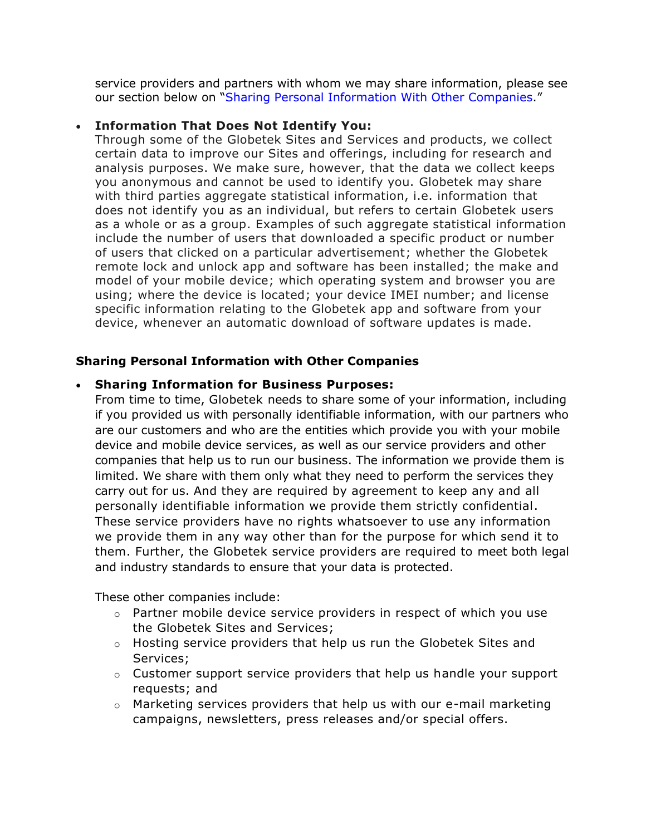service providers and partners with whom we may share information, please see our section below on "Sharing Personal Information With Other Companies."

#### • **Information That Does Not Identify You:**

Through some of the Globetek Sites and Services and products, we collect certain data to improve our Sites and offerings, including for research and analysis purposes. We make sure, however, that the data we collect keeps you anonymous and cannot be used to identify you. Globetek may share with third parties aggregate statistical information, i.e. information that does not identify you as an individual, but refers to certain Globetek users as a whole or as a group. Examples of such aggregate statistical information include the number of users that downloaded a specific product or number of users that clicked on a particular advertisement; whether the Globetek remote lock and unlock app and software has been installed; the make and model of your mobile device; which operating system and browser you are using; where the device is located; your device IMEI number; and license specific information relating to the Globetek app and software from your device, whenever an automatic download of software updates is made.

### **Sharing Personal Information with Other Companies**

### • **Sharing Information for Business Purposes:**

From time to time, Globetek needs to share some of your information, including if you provided us with personally identifiable information, with our partners who are our customers and who are the entities which provide you with your mobile device and mobile device services, as well as our service providers and other companies that help us to run our business. The information we provide them is limited. We share with them only what they need to perform the services they carry out for us. And they are required by agreement to keep any and all personally identifiable information we provide them strictly confidential. These service providers have no rights whatsoever to use any information we provide them in any way other than for the purpose for which send it to them. Further, the Globetek service providers are required to meet both legal and industry standards to ensure that your data is protected.

These other companies include:

- $\circ$  Partner mobile device service providers in respect of which you use the Globetek Sites and Services;
- $\circ$  Hosting service providers that help us run the Globetek Sites and Services;
- $\circ$  Customer support service providers that help us handle your support requests; and
- $\circ$  Marketing services providers that help us with our e-mail marketing campaigns, newsletters, press releases and/or special offers.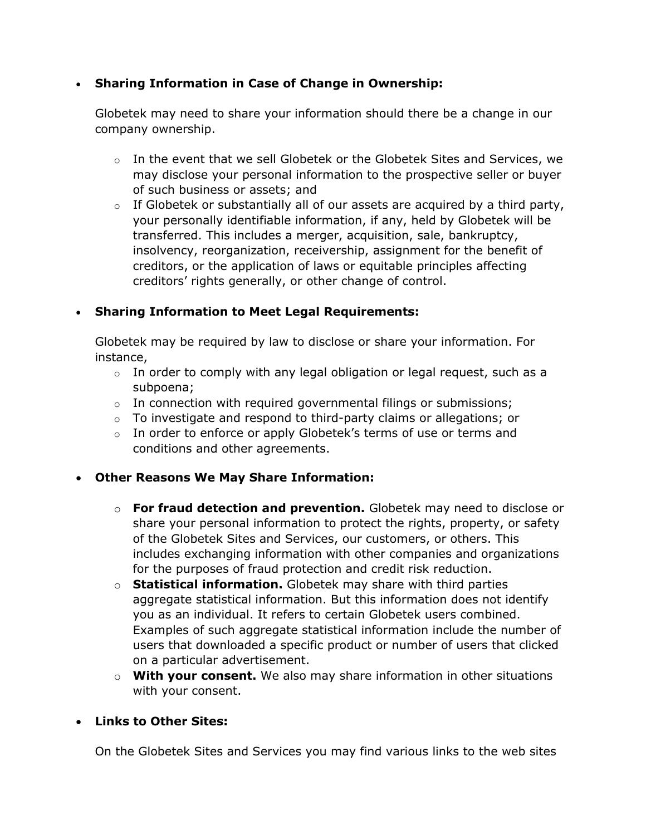# • **Sharing Information in Case of Change in Ownership:**

Globetek may need to share your information should there be a change in our company ownership.

- $\circ$  In the event that we sell Globetek or the Globetek Sites and Services, we may disclose your personal information to the prospective seller or buyer of such business or assets; and
- $\circ$  If Globetek or substantially all of our assets are acquired by a third party, your personally identifiable information, if any, held by Globetek will be transferred. This includes a merger, acquisition, sale, bankruptcy, insolvency, reorganization, receivership, assignment for the benefit of creditors, or the application of laws or equitable principles affecting creditors' rights generally, or other change of control.

# • **Sharing Information to Meet Legal Requirements:**

Globetek may be required by law to disclose or share your information. For instance,

- $\circ$  In order to comply with any legal obligation or legal request, such as a subpoena;
- $\circ$  In connection with required governmental filings or submissions;
- $\circ$  To investigate and respond to third-party claims or allegations; or
- $\circ$  In order to enforce or apply Globetek's terms of use or terms and conditions and other agreements.

# • **Other Reasons We May Share Information:**

- o **For fraud detection and prevention.** Globetek may need to disclose or share your personal information to protect the rights, property, or safety of the Globetek Sites and Services, our customers, or others. This includes exchanging information with other companies and organizations for the purposes of fraud protection and credit risk reduction.
- o **Statistical information.** Globetek may share with third parties aggregate statistical information. But this information does not identify you as an individual. It refers to certain Globetek users combined. Examples of such aggregate statistical information include the number of users that downloaded a specific product or number of users that clicked on a particular advertisement.
- o **With your consent.** We also may share information in other situations with your consent.

### • **Links to Other Sites:**

On the Globetek Sites and Services you may find various links to the web sites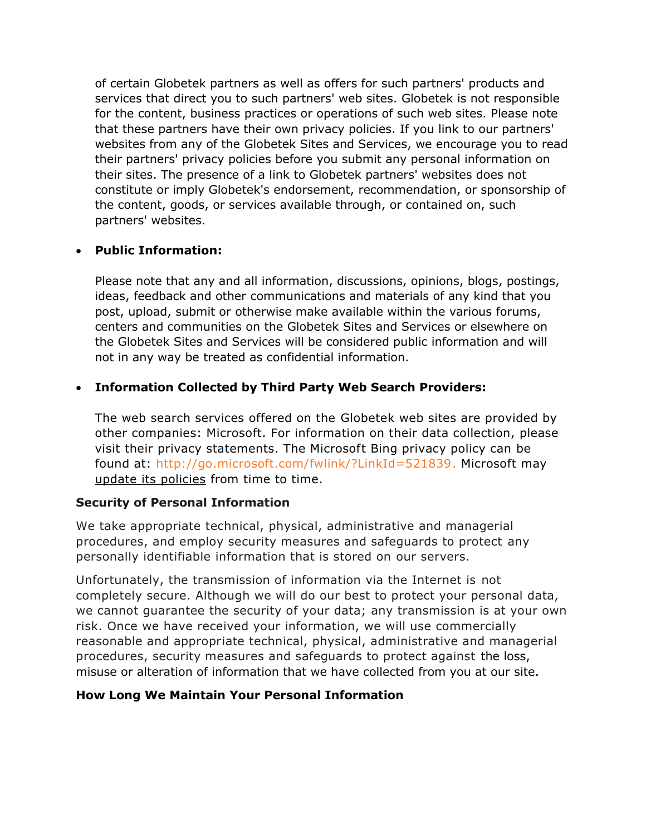of certain Globetek partners as well as offers for such partners' products and services that direct you to such partners' web sites. Globetek is not responsible for the content, business practices or operations of such web sites. Please note that these partners have their own privacy policies. If you link to our partners' websites from any of the Globetek Sites and Services, we encourage you to read their partners' privacy policies before you submit any personal information on their sites. The presence of a link to Globetek partners' websites does not constitute or imply Globetek's endorsement, recommendation, or sponsorship of the content, goods, or services available through, or contained on, such partners' websites.

# • **Public Information:**

Please note that any and all information, discussions, opinions, blogs, postings, ideas, feedback and other communications and materials of any kind that you post, upload, submit or otherwise make available within the various forums, centers and communities on the Globetek Sites and Services or elsewhere on the Globetek Sites and Services will be considered public information and will not in any way be treated as confidential information.

# • **Information Collected by Third Party Web Search Providers:**

The web search services offered on the Globetek web sites are provided by other companies: Microsoft. For information on their data collection, please visit their privacy statements. The Microsoft Bing privacy policy can be found at: [http://go.microsoft.com/fwlink/?LinkId=521839.](http://go.microsoft.com/fwlink/?LinkId=521839) Microsoft may update its policies from time to time.

### **Security of Personal Information**

We take appropriate technical, physical, administrative and managerial procedures, and employ security measures and safeguards to protect any personally identifiable information that is stored on our servers.

Unfortunately, the transmission of information via the Internet is not completely secure. Although we will do our best to protect your personal data, we cannot guarantee the security of your data; any transmission is at your own risk. Once we have received your information, we will use commercially reasonable and appropriate technical, physical, administrative and managerial procedures, security measures and safeguards to protect against the loss, misuse or alteration of information that we have collected from you at our site.

# **How Long We Maintain Your Personal Information**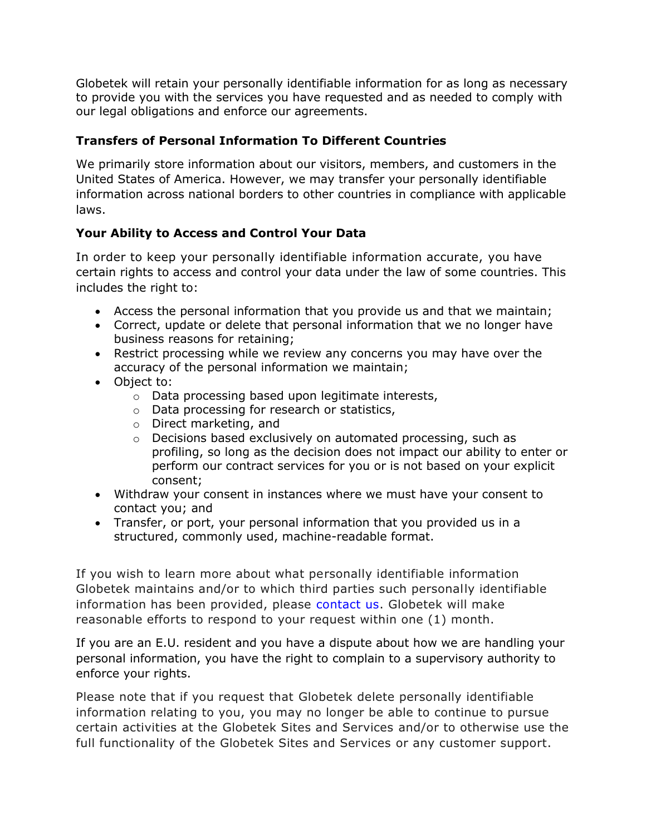Globetek will retain your personally identifiable information for as long as necessary to provide you with the services you have requested and as needed to comply with our legal obligations and enforce our agreements.

# **Transfers of Personal Information To Different Countries**

We primarily store information about our visitors, members, and customers in the United States of America. However, we may transfer your personally identifiable information across national borders to other countries in compliance with applicable laws.

# **Your Ability to Access and Control Your Data**

In order to keep your personally identifiable information accurate, you have certain rights to access and control your data under the law of some countries. This includes the right to:

- Access the personal information that you provide us and that we maintain;
- Correct, update or delete that personal information that we no longer have business reasons for retaining;
- Restrict processing while we review any concerns you may have over the accuracy of the personal information we maintain;
- Object to:
	- o Data processing based upon legitimate interests,
	- o Data processing for research or statistics,
	- o Direct marketing, and
	- o Decisions based exclusively on automated processing, such as profiling, so long as the decision does not impact our ability to enter or perform our contract services for you or is not based on your explicit consent;
- Withdraw your consent in instances where we must have your consent to contact you; and
- Transfer, or port, your personal information that you provided us in a structured, commonly used, machine-readable format.

If you wish to learn more about what personally identifiable information Globetek maintains and/or to which third parties such personally identifiable information has been provided, please contact us. Globetek will make reasonable efforts to respond to your request within one (1) month.

If you are an E.U. resident and you have a dispute about how we are handling your personal information, you have the right to complain to a supervisory authority to enforce your rights.

Please note that if you request that Globetek delete personally identifiable information relating to you, you may no longer be able to continue to pursue certain activities at the Globetek Sites and Services and/or to otherwise use the full functionality of the Globetek Sites and Services or any customer support.